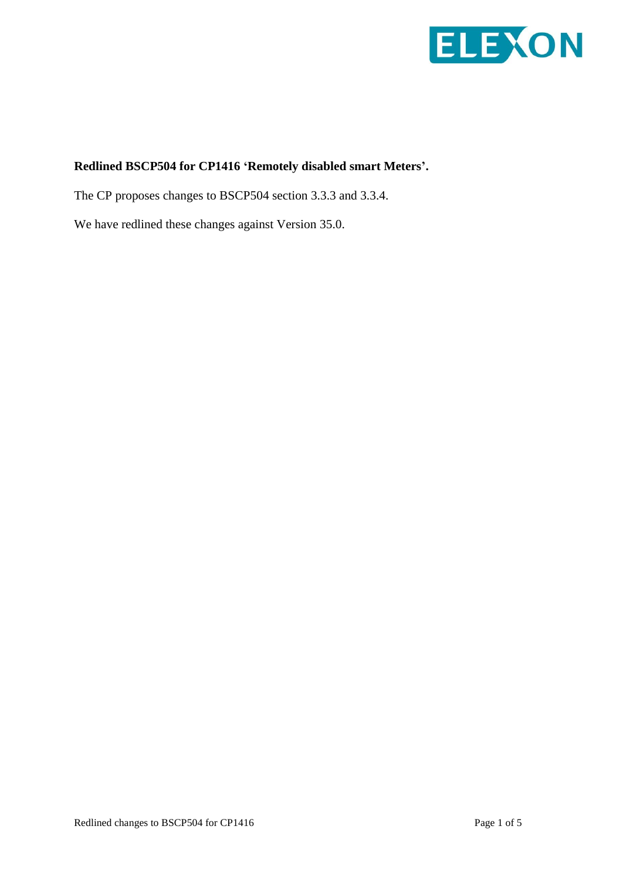

## **Redlined BSCP504 for CP1416 'Remotely disabled smart Meters'.**

The CP proposes changes to BSCP504 section 3.3.3 and 3.3.4.

We have redlined these changes against Version 35.0.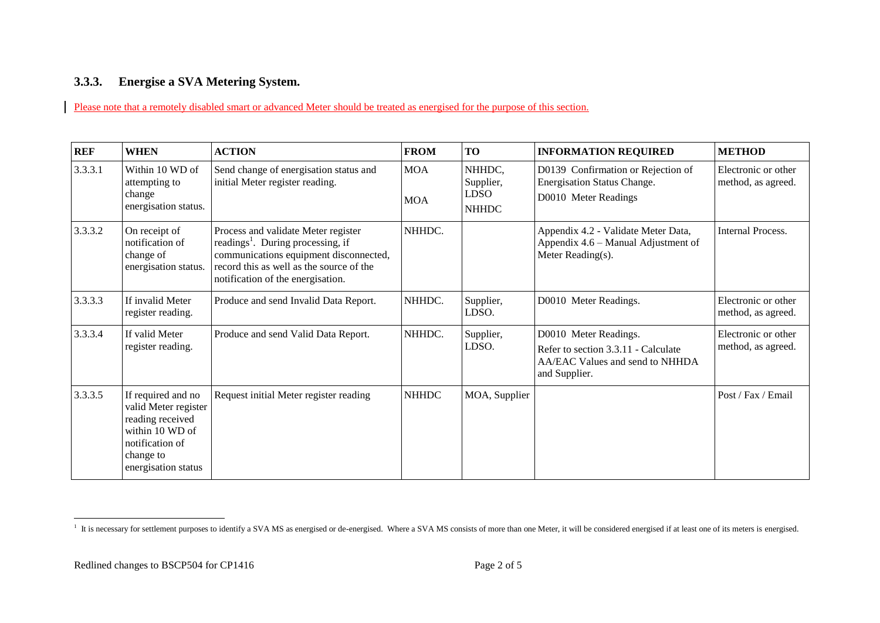## **3.3.3. Energise a SVA Metering System.**

Please note that a remotely disabled smart or advanced Meter should be treated as energised for the purpose of this section.

| <b>REF</b> | <b>WHEN</b>                                                                                                                              | <b>ACTION</b>                                                                                                                                                                                                   | <b>FROM</b>              | <b>TO</b>                                          | <b>INFORMATION REQUIRED</b>                                                                                      | <b>METHOD</b>                             |
|------------|------------------------------------------------------------------------------------------------------------------------------------------|-----------------------------------------------------------------------------------------------------------------------------------------------------------------------------------------------------------------|--------------------------|----------------------------------------------------|------------------------------------------------------------------------------------------------------------------|-------------------------------------------|
| 3.3.3.1    | Within 10 WD of<br>attempting to<br>change<br>energisation status.                                                                       | Send change of energisation status and<br>initial Meter register reading.                                                                                                                                       | <b>MOA</b><br><b>MOA</b> | NHHDC,<br>Supplier,<br><b>LDSO</b><br><b>NHHDC</b> | D0139 Confirmation or Rejection of<br><b>Energisation Status Change.</b><br>D0010 Meter Readings                 | Electronic or other<br>method, as agreed. |
| 3.3.3.2    | On receipt of<br>notification of<br>change of<br>energisation status.                                                                    | Process and validate Meter register<br>readings <sup>1</sup> . During processing, if<br>communications equipment disconnected,<br>record this as well as the source of the<br>notification of the energisation. | NHHDC.                   |                                                    | Appendix 4.2 - Validate Meter Data,<br>Appendix 4.6 – Manual Adjustment of<br>Meter Reading(s).                  | Internal Process.                         |
| 3.3.3.3    | If invalid Meter<br>register reading.                                                                                                    | Produce and send Invalid Data Report.                                                                                                                                                                           | NHHDC.                   | Supplier,<br>LDSO.                                 | D0010 Meter Readings.                                                                                            | Electronic or other<br>method, as agreed. |
| 3.3.3.4    | If valid Meter<br>register reading.                                                                                                      | Produce and send Valid Data Report.                                                                                                                                                                             | NHHDC.                   | Supplier,<br>LDSO.                                 | D0010 Meter Readings.<br>Refer to section 3.3.11 - Calculate<br>AA/EAC Values and send to NHHDA<br>and Supplier. | Electronic or other<br>method, as agreed. |
| 3.3.3.5    | If required and no<br>valid Meter register<br>reading received<br>within 10 WD of<br>notification of<br>change to<br>energisation status | Request initial Meter register reading                                                                                                                                                                          | <b>NHHDC</b>             | MOA, Supplier                                      |                                                                                                                  | Post / Fax / Email                        |

<sup>&</sup>lt;sup>1</sup> It is necessary for settlement purposes to identify a SVA MS as energised or de-energised. Where a SVA MS consists of more than one Meter, it will be considered energised if at least one of its meters is energised.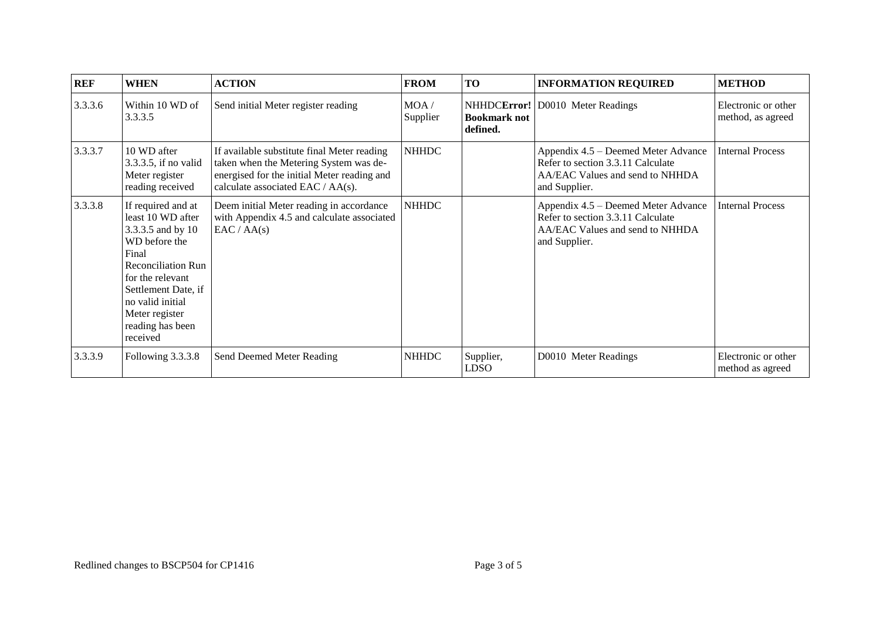| <b>REF</b> | <b>WHEN</b>                                                                                                                                                                                                                          | <b>ACTION</b>                                                                                                                                                             | <b>FROM</b>       | <b>TO</b>                       | <b>INFORMATION REQUIRED</b>                                                                                                  | <b>METHOD</b>                            |
|------------|--------------------------------------------------------------------------------------------------------------------------------------------------------------------------------------------------------------------------------------|---------------------------------------------------------------------------------------------------------------------------------------------------------------------------|-------------------|---------------------------------|------------------------------------------------------------------------------------------------------------------------------|------------------------------------------|
| 3.3.3.6    | Within 10 WD of<br>3.3.3.5                                                                                                                                                                                                           | Send initial Meter register reading                                                                                                                                       | MOA /<br>Supplier | <b>Bookmark not</b><br>defined. | NHHDCError! D0010 Meter Readings                                                                                             | Electronic or other<br>method, as agreed |
| 3.3.3.7    | 10 WD after<br>3.3.3.5, if no valid<br>Meter register<br>reading received                                                                                                                                                            | If available substitute final Meter reading<br>taken when the Metering System was de-<br>energised for the initial Meter reading and<br>calculate associated EAC / AA(s). | <b>NHHDC</b>      |                                 | Appendix 4.5 – Deemed Meter Advance<br>Refer to section 3.3.11 Calculate<br>AA/EAC Values and send to NHHDA<br>and Supplier. | <b>Internal Process</b>                  |
| 3.3.3.8    | If required and at<br>least 10 WD after<br>3.3.3.5 and by 10<br>WD before the<br>Final<br><b>Reconciliation Run</b><br>for the relevant<br>Settlement Date, if<br>no valid initial<br>Meter register<br>reading has been<br>received | Deem initial Meter reading in accordance<br>with Appendix 4.5 and calculate associated<br>EAC / AA(s)                                                                     | <b>NHHDC</b>      |                                 | Appendix 4.5 – Deemed Meter Advance<br>Refer to section 3.3.11 Calculate<br>AA/EAC Values and send to NHHDA<br>and Supplier. | <b>Internal Process</b>                  |
| 3.3.3.9    | Following 3.3.3.8                                                                                                                                                                                                                    | Send Deemed Meter Reading                                                                                                                                                 | <b>NHHDC</b>      | Supplier,<br>LDSO               | D0010 Meter Readings                                                                                                         | Electronic or other<br>method as agreed  |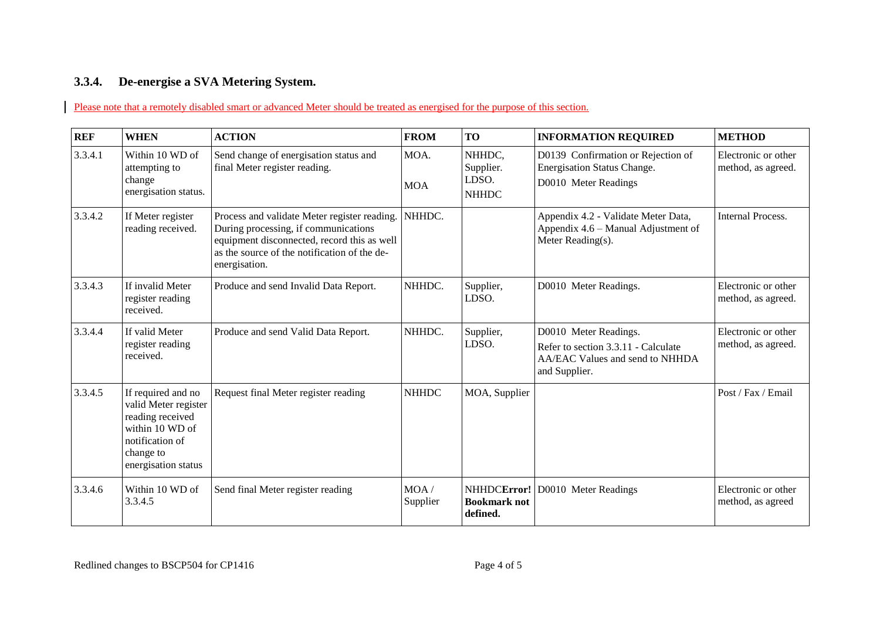## **3.3.4. De-energise a SVA Metering System.**

Please note that a remotely disabled smart or advanced Meter should be treated as energised for the purpose of this section.

| <b>REF</b> | <b>WHEN</b>                                                                                                                              | <b>ACTION</b>                                                                                                                                                                                        | <b>FROM</b>        | TO                                           | <b>INFORMATION REQUIRED</b>                                                                                      | <b>METHOD</b>                             |
|------------|------------------------------------------------------------------------------------------------------------------------------------------|------------------------------------------------------------------------------------------------------------------------------------------------------------------------------------------------------|--------------------|----------------------------------------------|------------------------------------------------------------------------------------------------------------------|-------------------------------------------|
| 3.3.4.1    | Within 10 WD of<br>attempting to<br>change<br>energisation status.                                                                       | Send change of energisation status and<br>final Meter register reading.                                                                                                                              | MOA.<br><b>MOA</b> | NHHDC.<br>Supplier.<br>LDSO.<br><b>NHHDC</b> | D0139 Confirmation or Rejection of<br><b>Energisation Status Change.</b><br>D0010 Meter Readings                 | Electronic or other<br>method, as agreed. |
| 3.3.4.2    | If Meter register<br>reading received.                                                                                                   | Process and validate Meter register reading.<br>During processing, if communications<br>equipment disconnected, record this as well<br>as the source of the notification of the de-<br>energisation. | NHHDC.             |                                              | Appendix 4.2 - Validate Meter Data,<br>Appendix 4.6 - Manual Adjustment of<br>Meter Reading(s).                  | <b>Internal Process.</b>                  |
| 3.3.4.3    | If invalid Meter<br>register reading<br>received.                                                                                        | Produce and send Invalid Data Report.                                                                                                                                                                | NHHDC.             | Supplier,<br>LDSO.                           | D0010 Meter Readings.                                                                                            | Electronic or other<br>method, as agreed. |
| 3.3.4.4    | If valid Meter<br>register reading<br>received.                                                                                          | Produce and send Valid Data Report.                                                                                                                                                                  | NHHDC.             | Supplier,<br>LDSO.                           | D0010 Meter Readings.<br>Refer to section 3.3.11 - Calculate<br>AA/EAC Values and send to NHHDA<br>and Supplier. | Electronic or other<br>method, as agreed. |
| 3.3.4.5    | If required and no<br>valid Meter register<br>reading received<br>within 10 WD of<br>notification of<br>change to<br>energisation status | Request final Meter register reading                                                                                                                                                                 | <b>NHHDC</b>       | MOA, Supplier                                |                                                                                                                  | Post / Fax / Email                        |
| 3.3.4.6    | Within 10 WD of<br>3.3.4.5                                                                                                               | Send final Meter register reading                                                                                                                                                                    | MOA/<br>Supplier   | <b>Bookmark not</b><br>defined.              | NHHDCError! D0010 Meter Readings                                                                                 | Electronic or other<br>method, as agreed  |